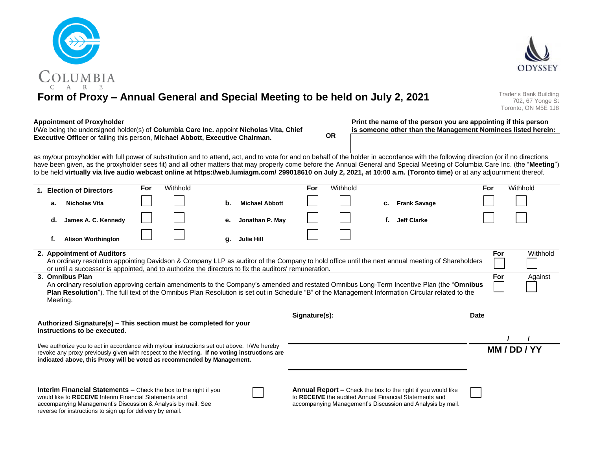

# **Form of Proxy – Annual General and Special Meeting to be held on July 2, 2021**

Trader's Bank Building 702, 67 Yonge St Toronto, ON M5E 1J8

**Print the name of the person you are appointing if this person is someone other than the Management Nominees listed herein:**

#### **Appointment of Proxyholder**

| I/We being the undersigned holder(s) of Columbia Care Inc. appoint Nicholas Vita, Chief |           |
|-----------------------------------------------------------------------------------------|-----------|
| <b>Executive Officer</b> or failing this person, Michael Abbott, Executive Chairman.    | <b>OR</b> |

as my/our proxyholder with full power of substitution and to attend, act, and to vote for and on behalf of the holder in accordance with the following direction (or if no directions have been given, as the proxyholder sees fit) and all other matters that may properly come before the Annual General and Special Meeting of Columbia Care Inc. (the "**Meeting**") to be held **virtually via live audio webcast online at https://web.lumiagm.com/ 299018610 on July 2, 2021, at 10:00 a.m. (Toronto time)** or at any adjournment thereof.

|                                                                                                                                                                                                                                                                        |                                                                                                                                                                                                                                                                                                          | 1. Election of Directors                                                                                                                                                                                                                                                                                        | For | Withhold |    |                       | For | Withhold |  |                                                                                                                                                                                             | For      |     | Withhold |
|------------------------------------------------------------------------------------------------------------------------------------------------------------------------------------------------------------------------------------------------------------------------|----------------------------------------------------------------------------------------------------------------------------------------------------------------------------------------------------------------------------------------------------------------------------------------------------------|-----------------------------------------------------------------------------------------------------------------------------------------------------------------------------------------------------------------------------------------------------------------------------------------------------------------|-----|----------|----|-----------------------|-----|----------|--|---------------------------------------------------------------------------------------------------------------------------------------------------------------------------------------------|----------|-----|----------|
|                                                                                                                                                                                                                                                                        | а.                                                                                                                                                                                                                                                                                                       | <b>Nicholas Vita</b>                                                                                                                                                                                                                                                                                            |     |          | b. | <b>Michael Abbott</b> |     |          |  | c. Frank Savage                                                                                                                                                                             |          |     |          |
|                                                                                                                                                                                                                                                                        | d.                                                                                                                                                                                                                                                                                                       | James A. C. Kennedy                                                                                                                                                                                                                                                                                             |     |          | е. | Jonathan P. May       |     |          |  | <b>Jeff Clarke</b>                                                                                                                                                                          |          |     |          |
|                                                                                                                                                                                                                                                                        | f.                                                                                                                                                                                                                                                                                                       | <b>Alison Worthington</b>                                                                                                                                                                                                                                                                                       |     |          | g. | Julie Hill            |     |          |  |                                                                                                                                                                                             |          |     |          |
|                                                                                                                                                                                                                                                                        | 2. Appointment of Auditors<br>Withhold<br>For<br>An ordinary resolution appointing Davidson & Company LLP as auditor of the Company to hold office until the next annual meeting of Shareholders<br>or until a successor is appointed, and to authorize the directors to fix the auditors' remuneration. |                                                                                                                                                                                                                                                                                                                 |     |          |    |                       |     |          |  |                                                                                                                                                                                             |          |     |          |
|                                                                                                                                                                                                                                                                        | Meeting.                                                                                                                                                                                                                                                                                                 | 3. Omnibus Plan<br>An ordinary resolution approving certain amendments to the Company's amended and restated Omnibus Long-Term Incentive Plan (the "Omnibus<br>Plan Resolution"). The full text of the Omnibus Plan Resolution is set out in Schedule "B" of the Management Information Circular related to the |     |          |    |                       |     |          |  |                                                                                                                                                                                             |          | For | Against  |
| Signature(s):<br>Date<br>Authorized Signature(s) - This section must be completed for your<br>instructions to be executed.                                                                                                                                             |                                                                                                                                                                                                                                                                                                          |                                                                                                                                                                                                                                                                                                                 |     |          |    |                       |     |          |  |                                                                                                                                                                                             |          |     |          |
| I/we authorize you to act in accordance with my/our instructions set out above. I/We hereby<br>revoke any proxy previously given with respect to the Meeting. If no voting instructions are<br>indicated above, this Proxy will be voted as recommended by Management. |                                                                                                                                                                                                                                                                                                          |                                                                                                                                                                                                                                                                                                                 |     |          |    |                       |     |          |  |                                                                                                                                                                                             | MM/DD/YY |     |          |
|                                                                                                                                                                                                                                                                        |                                                                                                                                                                                                                                                                                                          | <b>Interim Financial Statements –</b> Check the box to the right if you<br>would like to RECEIVE Interim Financial Statements and<br>accompanying Management's Discussion & Analysis by mail. See<br>reverse for instructions to sign up for delivery by email.                                                 |     |          |    |                       |     |          |  | <b>Annual Report –</b> Check the box to the right if you would like<br>to RECEIVE the audited Annual Financial Statements and<br>accompanying Management's Discussion and Analysis by mail. |          |     |          |



**ODYSSEY**